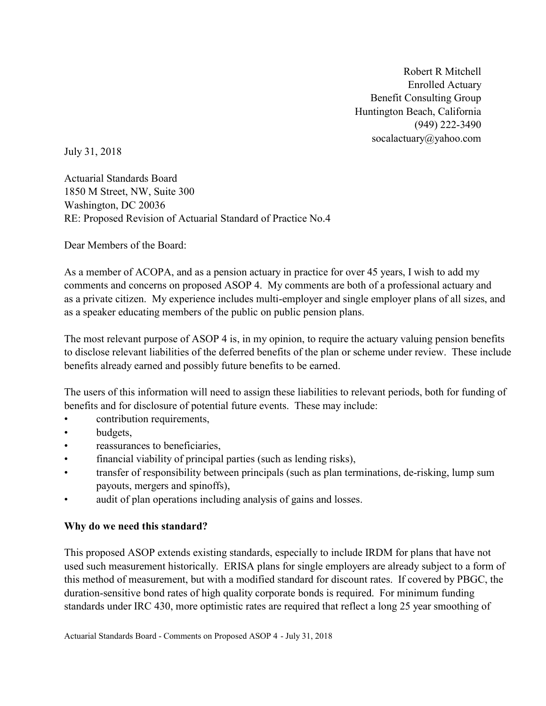Robert R Mitchell Enrolled Actuary Benefit Consulting Group Huntington Beach, California (949) 222-3490 socalactuary@yahoo.com

July 31, 2018

Actuarial Standards Board 1850 M Street, NW, Suite 300 Washington, DC 20036 RE: Proposed Revision of Actuarial Standard of Practice No.4

Dear Members of the Board:

As a member of ACOPA, and as a pension actuary in practice for over 45 years, I wish to add my comments and concerns on proposed ASOP 4. My comments are both of a professional actuary and as a private citizen. My experience includes multi-employer and single employer plans of all sizes, and as a speaker educating members of the public on public pension plans.

The most relevant purpose of ASOP 4 is, in my opinion, to require the actuary valuing pension benefits to disclose relevant liabilities of the deferred benefits of the plan or scheme under review. These include benefits already earned and possibly future benefits to be earned.

The users of this information will need to assign these liabilities to relevant periods, both for funding of benefits and for disclosure of potential future events. These may include:

- contribution requirements,
- budgets,
- reassurances to beneficiaries,
- financial viability of principal parties (such as lending risks),
- transfer of responsibility between principals (such as plan terminations, de-risking, lump sum payouts, mergers and spinoffs),
- audit of plan operations including analysis of gains and losses.

### Why do we need this standard?

This proposed ASOP extends existing standards, especially to include IRDM for plans that have not used such measurement historically. ERISA plans for single employers are already subject to a form of this method of measurement, but with a modified standard for discount rates. If covered by PBGC, the duration-sensitive bond rates of high quality corporate bonds is required. For minimum funding standards under IRC 430, more optimistic rates are required that reflect a long 25 year smoothing of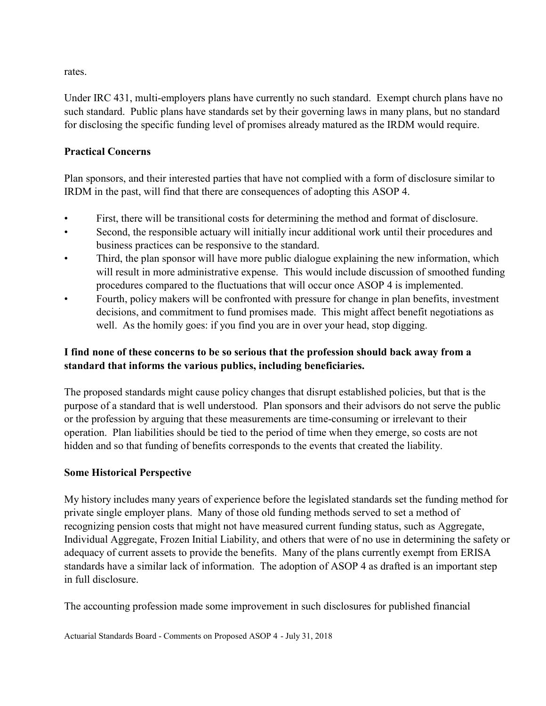rates.

Under IRC 431, multi-employers plans have currently no such standard. Exempt church plans have no such standard. Public plans have standards set by their governing laws in many plans, but no standard for disclosing the specific funding level of promises already matured as the IRDM would require.

#### Practical Concerns

Plan sponsors, and their interested parties that have not complied with a form of disclosure similar to IRDM in the past, will find that there are consequences of adopting this ASOP 4.

- First, there will be transitional costs for determining the method and format of disclosure.
- Second, the responsible actuary will initially incur additional work until their procedures and business practices can be responsive to the standard.
- Third, the plan sponsor will have more public dialogue explaining the new information, which will result in more administrative expense. This would include discussion of smoothed funding procedures compared to the fluctuations that will occur once ASOP 4 is implemented.
- Fourth, policy makers will be confronted with pressure for change in plan benefits, investment decisions, and commitment to fund promises made. This might affect benefit negotiations as well. As the homily goes: if you find you are in over your head, stop digging.

# I find none of these concerns to be so serious that the profession should back away from a standard that informs the various publics, including beneficiaries.

The proposed standards might cause policy changes that disrupt established policies, but that is the purpose of a standard that is well understood. Plan sponsors and their advisors do not serve the public or the profession by arguing that these measurements are time-consuming or irrelevant to their operation. Plan liabilities should be tied to the period of time when they emerge, so costs are not hidden and so that funding of benefits corresponds to the events that created the liability.

### Some Historical Perspective

My history includes many years of experience before the legislated standards set the funding method for private single employer plans. Many of those old funding methods served to set a method of recognizing pension costs that might not have measured current funding status, such as Aggregate, Individual Aggregate, Frozen Initial Liability, and others that were of no use in determining the safety or adequacy of current assets to provide the benefits. Many of the plans currently exempt from ERISA standards have a similar lack of information. The adoption of ASOP 4 as drafted is an important step in full disclosure.

The accounting profession made some improvement in such disclosures for published financial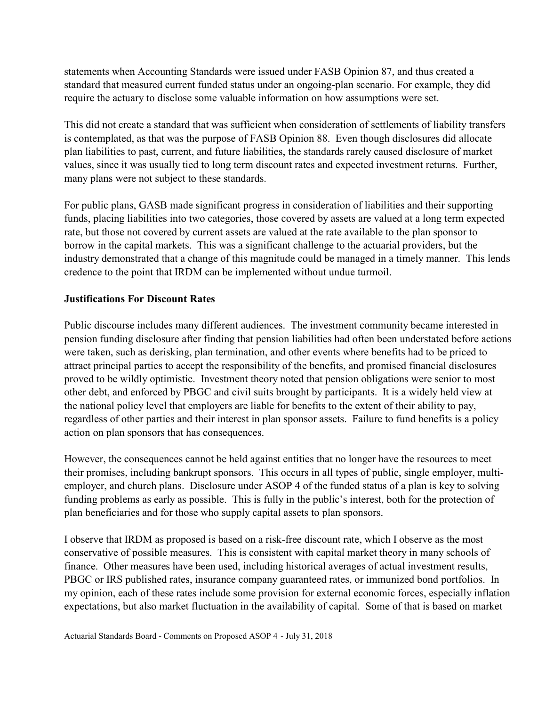statements when Accounting Standards were issued under FASB Opinion 87, and thus created a standard that measured current funded status under an ongoing-plan scenario. For example, they did require the actuary to disclose some valuable information on how assumptions were set.

This did not create a standard that was sufficient when consideration of settlements of liability transfers is contemplated, as that was the purpose of FASB Opinion 88. Even though disclosures did allocate plan liabilities to past, current, and future liabilities, the standards rarely caused disclosure of market values, since it was usually tied to long term discount rates and expected investment returns. Further, many plans were not subject to these standards.

For public plans, GASB made significant progress in consideration of liabilities and their supporting funds, placing liabilities into two categories, those covered by assets are valued at a long term expected rate, but those not covered by current assets are valued at the rate available to the plan sponsor to borrow in the capital markets. This was a significant challenge to the actuarial providers, but the industry demonstrated that a change of this magnitude could be managed in a timely manner. This lends credence to the point that IRDM can be implemented without undue turmoil.

### Justifications For Discount Rates

Public discourse includes many different audiences. The investment community became interested in pension funding disclosure after finding that pension liabilities had often been understated before actions were taken, such as derisking, plan termination, and other events where benefits had to be priced to attract principal parties to accept the responsibility of the benefits, and promised financial disclosures proved to be wildly optimistic. Investment theory noted that pension obligations were senior to most other debt, and enforced by PBGC and civil suits brought by participants. It is a widely held view at the national policy level that employers are liable for benefits to the extent of their ability to pay, regardless of other parties and their interest in plan sponsor assets. Failure to fund benefits is a policy action on plan sponsors that has consequences.

However, the consequences cannot be held against entities that no longer have the resources to meet their promises, including bankrupt sponsors. This occurs in all types of public, single employer, multiemployer, and church plans. Disclosure under ASOP 4 of the funded status of a plan is key to solving funding problems as early as possible. This is fully in the public's interest, both for the protection of plan beneficiaries and for those who supply capital assets to plan sponsors.

I observe that IRDM as proposed is based on a risk-free discount rate, which I observe as the most conservative of possible measures. This is consistent with capital market theory in many schools of finance. Other measures have been used, including historical averages of actual investment results, PBGC or IRS published rates, insurance company guaranteed rates, or immunized bond portfolios. In my opinion, each of these rates include some provision for external economic forces, especially inflation expectations, but also market fluctuation in the availability of capital. Some of that is based on market